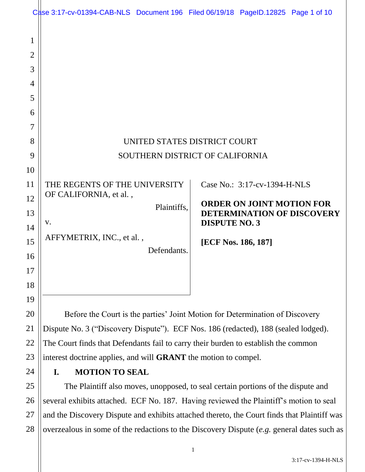| 1<br>$\overline{2}$<br>3<br>4<br>5<br>6<br>7<br>8<br>9<br>10<br>11<br>12<br>13 | Case 3:17-cv-01394-CAB-NLS Document 196 Filed 06/19/18 PageID.12825 Page 1 of 10<br>THE REGENTS OF THE UNIVERSITY<br>OF CALIFORNIA, et al.,<br>Plaintiffs, |             | UNITED STATES DISTRICT COURT<br>SOUTHERN DISTRICT OF CALIFORNIA<br>Case No.: 3:17-cv-1394-H-NLS<br><b>ORDER ON JOINT MOTION FOR</b><br><b>DETERMINATION OF DISCOVERY</b> |  |  |
|--------------------------------------------------------------------------------|------------------------------------------------------------------------------------------------------------------------------------------------------------|-------------|--------------------------------------------------------------------------------------------------------------------------------------------------------------------------|--|--|
| 14<br>15<br>16<br>17                                                           | V.<br>AFFYMETRIX, INC., et al.,                                                                                                                            | Defendants. | <b>DISPUTE NO. 3</b><br>[ECF Nos. 186, 187]                                                                                                                              |  |  |
| 18<br>19                                                                       |                                                                                                                                                            |             |                                                                                                                                                                          |  |  |
| 20                                                                             | Before the Court is the parties' Joint Motion for Determination of Discovery                                                                               |             |                                                                                                                                                                          |  |  |
| 21                                                                             | Dispute No. 3 ("Discovery Dispute"). ECF Nos. 186 (redacted), 188 (sealed lodged).                                                                         |             |                                                                                                                                                                          |  |  |
| 22                                                                             | The Court finds that Defendants fail to carry their burden to establish the common                                                                         |             |                                                                                                                                                                          |  |  |
| 23                                                                             | interest doctrine applies, and will <b>GRANT</b> the motion to compel.                                                                                     |             |                                                                                                                                                                          |  |  |
| 24                                                                             | <b>MOTION TO SEAL</b><br>I.                                                                                                                                |             |                                                                                                                                                                          |  |  |
| 25                                                                             | The Plaintiff also moves, unopposed, to seal certain portions of the dispute and                                                                           |             |                                                                                                                                                                          |  |  |
| 26                                                                             | several exhibits attached. ECF No. 187. Having reviewed the Plaintiff's motion to seal                                                                     |             |                                                                                                                                                                          |  |  |

27 28 and the Discovery Dispute and exhibits attached thereto, the Court finds that Plaintiff was overzealous in some of the redactions to the Discovery Dispute (*e.g.* general dates such as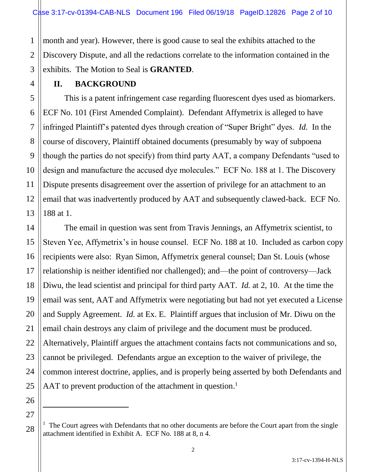month and year). However, there is good cause to seal the exhibits attached to the Discovery Dispute, and all the redactions correlate to the information contained in the exhibits. The Motion to Seal is **GRANTED**.

## **II. BACKGROUND**

1

2

3

4

7

11

14

15

16

17

18

19

20

21

22

23

24

25

26

 $\overline{a}$ 

27

28

5 6 8 9 10 12 13 This is a patent infringement case regarding fluorescent dyes used as biomarkers. ECF No. 101 (First Amended Complaint). Defendant Affymetrix is alleged to have infringed Plaintiff's patented dyes through creation of "Super Bright" dyes. *Id.* In the course of discovery, Plaintiff obtained documents (presumably by way of subpoena though the parties do not specify) from third party AAT, a company Defendants "used to design and manufacture the accused dye molecules." ECF No. 188 at 1. The Discovery Dispute presents disagreement over the assertion of privilege for an attachment to an email that was inadvertently produced by AAT and subsequently clawed-back. ECF No. 188 at 1.

The email in question was sent from Travis Jennings, an Affymetrix scientist, to Steven Yee, Affymetrix's in house counsel. ECF No. 188 at 10. Included as carbon copy recipients were also: Ryan Simon, Affymetrix general counsel; Dan St. Louis (whose relationship is neither identified nor challenged); and—the point of controversy—Jack Diwu, the lead scientist and principal for third party AAT. *Id.* at 2, 10. At the time the email was sent, AAT and Affymetrix were negotiating but had not yet executed a License and Supply Agreement. *Id.* at Ex. E. Plaintiff argues that inclusion of Mr. Diwu on the email chain destroys any claim of privilege and the document must be produced. Alternatively, Plaintiff argues the attachment contains facts not communications and so, cannot be privileged. Defendants argue an exception to the waiver of privilege, the common interest doctrine, applies, and is properly being asserted by both Defendants and AAT to prevent production of the attachment in question.<sup>1</sup>

 $1$  The Court agrees with Defendants that no other documents are before the Court apart from the single attachment identified in Exhibit A. ECF No. 188 at 8, n 4.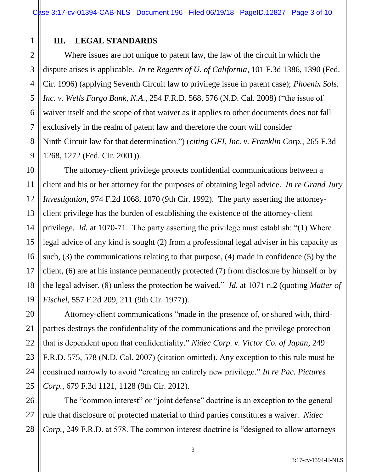## **III. LEGAL STANDARDS**

1

2

3

4

5

6

7

8

9

11

12

13

14

15

17

18

20

21

22

23

24

25

Where issues are not unique to patent law, the law of the circuit in which the dispute arises is applicable. *In re Regents of U. of California*, 101 F.3d 1386, 1390 (Fed. Cir. 1996) (applying Seventh Circuit law to privilege issue in patent case); *Phoenix Sols. Inc. v. Wells Fargo Bank, N.A.*, 254 F.R.D. 568, 576 (N.D. Cal. 2008) ("the issue of waiver itself and the scope of that waiver as it applies to other documents does not fall exclusively in the realm of patent law and therefore the court will consider Ninth Circuit law for that determination.") (*citing GFI, Inc. v. Franklin Corp.,* 265 F.3d 1268, 1272 (Fed. Cir. 2001)).

10 16 19 The attorney-client privilege protects confidential communications between a client and his or her attorney for the purposes of obtaining legal advice. *In re Grand Jury Investigation*, 974 F.2d 1068, 1070 (9th Cir. 1992). The party asserting the attorneyclient privilege has the burden of establishing the existence of the attorney-client privilege. *Id.* at 1070-71. The party asserting the privilege must establish: "(1) Where legal advice of any kind is sought (2) from a professional legal adviser in his capacity as such, (3) the communications relating to that purpose, (4) made in confidence (5) by the client, (6) are at his instance permanently protected (7) from disclosure by himself or by the legal adviser, (8) unless the protection be waived." *Id.* at 1071 n.2 (quoting *Matter of Fischel*, 557 F.2d 209, 211 (9th Cir. 1977)).

Attorney-client communications "made in the presence of, or shared with, thirdparties destroys the confidentiality of the communications and the privilege protection that is dependent upon that confidentiality." *Nidec Corp. v. Victor Co. of Japan*, 249 F.R.D. 575, 578 (N.D. Cal. 2007) (citation omitted). Any exception to this rule must be construed narrowly to avoid "creating an entirely new privilege." *In re Pac. Pictures Corp.*, 679 F.3d 1121, 1128 (9th Cir. 2012).

26 27 28 The "common interest" or "joint defense" doctrine is an exception to the general rule that disclosure of protected material to third parties constitutes a waiver. *Nidec Corp.,* 249 F.R.D. at 578. The common interest doctrine is "designed to allow attorneys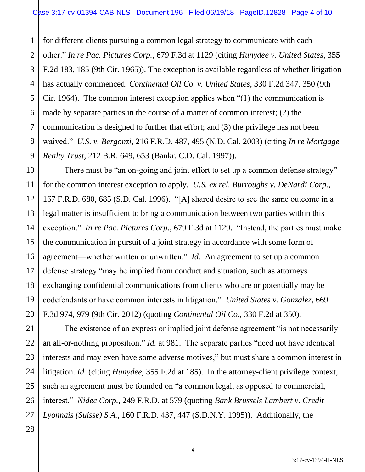1 2 3 4 5 6 7 8 9 for different clients pursuing a common legal strategy to communicate with each other." *In re Pac. Pictures Corp.*, 679 F.3d at 1129 (citing *Hunydee v. United States,* 355 F.2d 183, 185 (9th Cir. 1965)). The exception is available regardless of whether litigation has actually commenced. *Continental Oil Co. v. United States*, 330 F.2d 347, 350 (9th Cir. 1964). The common interest exception applies when "(1) the communication is made by separate parties in the course of a matter of common interest; (2) the communication is designed to further that effort; and (3) the privilege has not been waived." *U.S. v. Bergonzi*, 216 F.R.D. 487, 495 (N.D. Cal. 2003) (citing *In re Mortgage Realty Trust*, 212 B.R. 649, 653 (Bankr. C.D. Cal. 1997)).

There must be "an on-going and joint effort to set up a common defense strategy" for the common interest exception to apply. *U.S. ex rel. Burroughs v. DeNardi Corp.*, 167 F.R.D. 680, 685 (S.D. Cal. 1996). "[A] shared desire to see the same outcome in a legal matter is insufficient to bring a communication between two parties within this exception." *In re Pac. Pictures Corp.*, 679 F.3d at 1129. "Instead, the parties must make the communication in pursuit of a joint strategy in accordance with some form of agreement—whether written or unwritten." *Id.* An agreement to set up a common defense strategy "may be implied from conduct and situation, such as attorneys exchanging confidential communications from clients who are or potentially may be codefendants or have common interests in litigation." *United States v. Gonzalez*, 669 F.3d 974, 979 (9th Cir. 2012) (quoting *Continental Oil Co.*, 330 F.2d at 350).

The existence of an express or implied joint defense agreement "is not necessarily an all-or-nothing proposition." *Id.* at 981. The separate parties "need not have identical interests and may even have some adverse motives," but must share a common interest in litigation. *Id.* (citing *Hunydee*, 355 F.2d at 185). In the attorney-client privilege context, such an agreement must be founded on "a common legal, as opposed to commercial, interest." *Nidec Corp.*, 249 F.R.D. at 579 (quoting *Bank Brussels Lambert v. Credit Lyonnais (Suisse) S.A.*, 160 F.R.D. 437, 447 (S.D.N.Y. 1995)). Additionally, the

10

11

12

13

14

15

16

17

18

19

20

21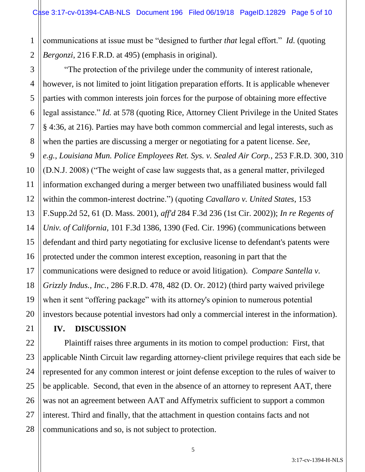1 2 communications at issue must be "designed to further *that* legal effort." *Id.* (quoting *Bergonzi*, 216 F.R.D. at 495) (emphasis in original).

3 4 5 6 7 8 9 10 11 12 13 14 15 16 17 18 19 20 "The protection of the privilege under the community of interest rationale, however, is not limited to joint litigation preparation efforts. It is applicable whenever parties with common interests join forces for the purpose of obtaining more effective legal assistance." *Id.* at 578 (quoting Rice, Attorney Client Privilege in the United States § 4:36, at 216). Parties may have both common commercial and legal interests, such as when the parties are discussing a merger or negotiating for a patent license. *See, e.g.*, *Louisiana Mun. Police Employees Ret. Sys. v. Sealed Air Corp.*, 253 F.R.D. 300, 310 (D.N.J. 2008) ("The weight of case law suggests that, as a general matter, privileged information exchanged during a merger between two unaffiliated business would fall within the common-interest doctrine.") (quoting *Cavallaro v. United States*, 153 F.Supp.2d 52, 61 (D. Mass. 2001), *aff'd* 284 F.3d 236 (1st Cir. 2002)); *In re Regents of Univ. of California*, 101 F.3d 1386, 1390 (Fed. Cir. 1996) (communications between defendant and third party negotiating for exclusive license to defendant's patents were protected under the common interest exception, reasoning in part that the communications were designed to reduce or avoid litigation). *Compare Santella v. Grizzly Indus., Inc.*, 286 F.R.D. 478, 482 (D. Or. 2012) (third party waived privilege when it sent "offering package" with its attorney's opinion to numerous potential investors because potential investors had only a commercial interest in the information).

## **IV. DISCUSSION**

21

22

23

24

25

26

27

28

Plaintiff raises three arguments in its motion to compel production: First, that applicable Ninth Circuit law regarding attorney-client privilege requires that each side be represented for any common interest or joint defense exception to the rules of waiver to be applicable. Second, that even in the absence of an attorney to represent AAT, there was not an agreement between AAT and Affymetrix sufficient to support a common interest. Third and finally, that the attachment in question contains facts and not communications and so, is not subject to protection.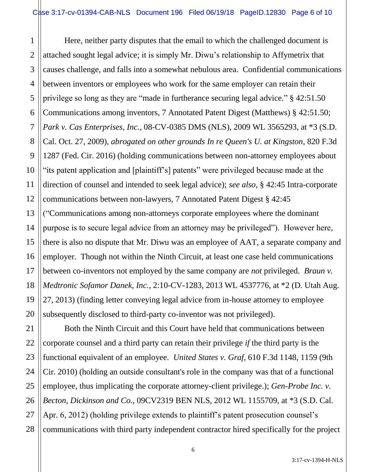1 2 3 4 5 6 7 8 9 10 11 12 13 14 15 16 17 18 19 20 Here, neither party disputes that the email to which the challenged document is attached sought legal advice; it is simply Mr. Diwu's relationship to Affymetrix that causes challenge, and falls into a somewhat nebulous area. Confidential communications between inventors or employees who work for the same employer can retain their privilege so long as they are "made in furtherance securing legal advice." § 42:51.50 Communications among inventors, 7 Annotated Patent Digest (Matthews) § 42:51.50; *Park v. Cas Enterprises, Inc.*, 08-CV-0385 DMS (NLS), 2009 WL 3565293, at \*3 (S.D. Cal. Oct. 27, 2009), *abrogated on other grounds In re Queen's U. at Kingston*, 820 F.3d 1287 (Fed. Cir. 2016) (holding communications between non-attorney employees about "its patent application and [plaintiff's] patents" were privileged because made at the direction of counsel and intended to seek legal advice); *see also*, § 42:45 Intra-corporate communications between non-lawyers, 7 Annotated Patent Digest § 42:45 ("Communications among non-attorneys corporate employees where the dominant purpose is to secure legal advice from an attorney may be privileged"). However here, there is also no dispute that Mr. Diwu was an employee of AAT, a separate company and employer. Though not within the Ninth Circuit, at least one case held communications between co-inventors not employed by the same company are *not* privileged. *Braun v. Medtronic Sofamor Danek, Inc.*, 2:10-CV-1283, 2013 WL 4537776, at \*2 (D. Utah Aug. 27, 2013) (finding letter conveying legal advice from in-house attorney to employee subsequently disclosed to third-party co-inventor was not privileged).

21 22 23 24 25 26 27 28 Both the Ninth Circuit and this Court have held that communications between corporate counsel and a third party can retain their privilege *if* the third party is the functional equivalent of an employee. *United States v. Graf,* 610 F.3d 1148, 1159 (9th Cir. 2010) (holding an outside consultant's role in the company was that of a functional employee, thus implicating the corporate attorney-client privilege.); *Gen-Probe Inc. v. Becton, Dickinson and Co.*, 09CV2319 BEN NLS, 2012 WL 1155709, at \*3 (S.D. Cal. Apr. 6, 2012) (holding privilege extends to plaintiff's patent prosecution counsel's communications with third party independent contractor hired specifically for the project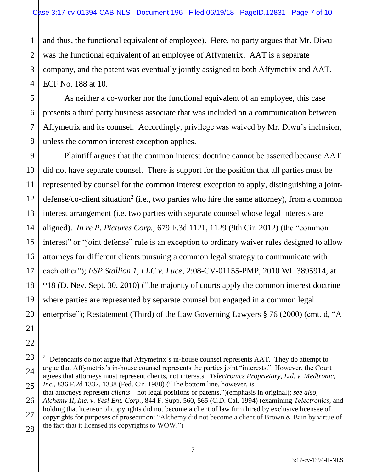1 2 3 4 and thus, the functional equivalent of employee). Here, no party argues that Mr. Diwu was the functional equivalent of an employee of Affymetrix. AAT is a separate company, and the patent was eventually jointly assigned to both Affymetrix and AAT. ECF No. 188 at 10.

5 6 8 As neither a co-worker nor the functional equivalent of an employee, this case presents a third party business associate that was included on a communication between Affymetrix and its counsel. Accordingly, privilege was waived by Mr. Diwu's inclusion, unless the common interest exception applies.

7

9

10

11

12

13

14

15

17

19

21

22

 $\ddot{\phantom{a}}$ 

23

24

16 18 20 Plaintiff argues that the common interest doctrine cannot be asserted because AAT did not have separate counsel. There is support for the position that all parties must be represented by counsel for the common interest exception to apply, distinguishing a jointdefense/co-client situation<sup>2</sup> (i.e., two parties who hire the same attorney), from a common interest arrangement (i.e. two parties with separate counsel whose legal interests are aligned). *In re P. Pictures Corp.*, 679 F.3d 1121, 1129 (9th Cir. 2012) (the "common interest" or "joint defense" rule is an exception to ordinary waiver rules designed to allow attorneys for different clients pursuing a common legal strategy to communicate with each other"); *FSP Stallion 1, LLC v. Luce*, 2:08-CV-01155-PMP, 2010 WL 3895914, at \*18 (D. Nev. Sept. 30, 2010) ("the majority of courts apply the common interest doctrine where parties are represented by separate counsel but engaged in a common legal enterprise"); Restatement (Third) of the Law Governing Lawyers § 76 (2000) (cmt. d, "A

<sup>25</sup> 2 Defendants do not argue that Affymetrix's in-house counsel represents AAT. They do attempt to argue that Affymetrix's in-house counsel represents the parties joint "interests." However, the Court agrees that attorneys must represent clients, not interests. *Telectronics Proprietary, Ltd. v. Medtronic, Inc.*, 836 F.2d 1332, 1338 (Fed. Cir. 1988) ("The bottom line, however, is

<sup>26</sup> 27 28 that attorneys represent *clients*—not legal positions or patents.")(emphasis in original); *see also, Alchemy II, Inc. v. Yes! Ent. Corp.*, 844 F. Supp. 560, 565 (C.D. Cal. 1994) (examining *Telectronics,* and holding that licensor of copyrights did not become a client of law firm hired by exclusive licensee of copyrights for purposes of prosecution: "Alchemy did not become a client of Brown & Bain by virtue of the fact that it licensed its copyrights to WOW.")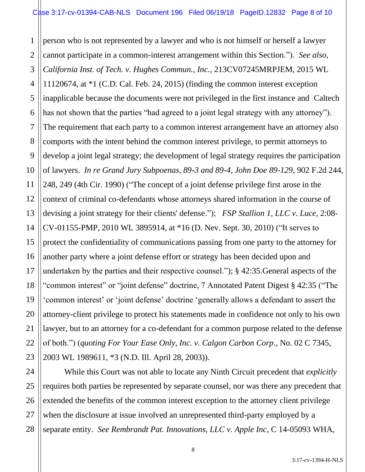1 2 3 4 5 6 7 8 9 10 11 12 13 14 15 16 17 18 19 20 21 22 23 person who is not represented by a lawyer and who is not himself or herself a lawyer cannot participate in a common-interest arrangement within this Section."). *See also, California Inst. of Tech. v. Hughes Commun., Inc.*, 213CV07245MRPJEM, 2015 WL 11120674, at \*1 (C.D. Cal. Feb. 24, 2015) (finding the common interest exception inapplicable because the documents were not privileged in the first instance and Caltech has not shown that the parties "had agreed to a joint legal strategy with any attorney"). The requirement that each party to a common interest arrangement have an attorney also comports with the intent behind the common interest privilege, to permit attorneys to develop a joint legal strategy; the development of legal strategy requires the participation of lawyers. *In re Grand Jury Subpoenas, 89-3 and 89-4, John Doe 89-129*, 902 F.2d 244, 248, 249 (4th Cir. 1990) ("The concept of a joint defense privilege first arose in the context of criminal co-defendants whose attorneys shared information in the course of devising a joint strategy for their clients' defense."); *FSP Stallion 1, LLC v. Luce*, 2:08- CV-01155-PMP, 2010 WL 3895914, at \*16 (D. Nev. Sept. 30, 2010) ("It serves to protect the confidentiality of communications passing from one party to the attorney for another party where a joint defense effort or strategy has been decided upon and undertaken by the parties and their respective counsel."); § 42:35.General aspects of the "common interest" or "joint defense" doctrine, 7 Annotated Patent Digest § 42:35 ("The 'common interest' or 'joint defense' doctrine 'generally allows a defendant to assert the attorney-client privilege to protect his statements made in confidence not only to his own lawyer, but to an attorney for a co-defendant for a common purpose related to the defense of both.") (*quoting For Your Ease Only, Inc. v. Calgon Carbon Corp*., No. 02 C 7345, 2003 WL 1989611, \*3 (N.D. Ill. April 28, 2003)).

24 26 28 While this Court was not able to locate any Ninth Circuit precedent that *explicitly*  requires both parties be represented by separate counsel, nor was there any precedent that extended the benefits of the common interest exception to the attorney client privilege when the disclosure at issue involved an unrepresented third-party employed by a separate entity. *See Rembrandt Pat. Innovations, LLC v. Apple Inc*, C 14-05093 WHA,

25

27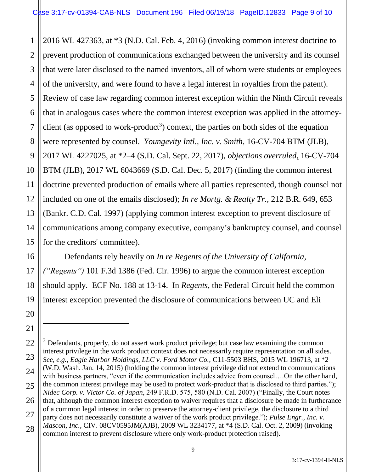1 2 3 4 5 6 7 8 9 10 11 12 13 14 15 2016 WL 427363, at \*3 (N.D. Cal. Feb. 4, 2016) (invoking common interest doctrine to prevent production of communications exchanged between the university and its counsel that were later disclosed to the named inventors, all of whom were students or employees of the university, and were found to have a legal interest in royalties from the patent). Review of case law regarding common interest exception within the Ninth Circuit reveals that in analogous cases where the common interest exception was applied in the attorneyclient (as opposed to work-product<sup>3</sup>) context, the parties on both sides of the equation were represented by counsel. *Youngevity Intl., Inc. v. Smith*, 16-CV-704 BTM (JLB), 2017 WL 4227025, at \*2–4 (S.D. Cal. Sept. 22, 2017), *objections overruled*, 16-CV-704 BTM (JLB), 2017 WL 6043669 (S.D. Cal. Dec. 5, 2017) (finding the common interest doctrine prevented production of emails where all parties represented, though counsel not included on one of the emails disclosed); *In re Mortg. & Realty Tr.*, 212 B.R. 649, 653 (Bankr. C.D. Cal. 1997) (applying common interest exception to prevent disclosure of communications among company executive, company's bankruptcy counsel, and counsel for the creditors' committee).

Defendants rely heavily on *In re Regents of the University of California, ("Regents")* 101 F.3d 1386 (Fed. Cir. 1996) to argue the common interest exception should apply. ECF No. 188 at 13-14. In *Regents,* the Federal Circuit held the common interest exception prevented the disclosure of communications between UC and Eli

16

17

18

19

20

21

 $\overline{a}$ 

<sup>22</sup> 23 24 25 26 27 28  $3$  Defendants, properly, do not assert work product privilege; but case law examining the common interest privilege in the work product context does not necessarily require representation on all sides. *See, e.g., Eagle Harbor Holdings, LLC v. Ford Motor Co.*, C11-5503 BHS, 2015 WL 196713, at \*2 (W.D. Wash. Jan. 14, 2015) (holding the common interest privilege did not extend to communications with business partners, "even if the communication includes advice from counsel….On the other hand, the common interest privilege may be used to protect work-product that is disclosed to third parties."); *Nidec Corp. v. Victor Co. of Japan*, 249 F.R.D. 575, 580 (N.D. Cal. 2007) ("Finally, the Court notes that, although the common interest exception to waiver requires that a disclosure be made in furtherance of a common legal interest in order to preserve the attorney-client privilege, the disclosure to a third party does not necessarily constitute a waiver of the work product privilege."); *Pulse Engr., Inc. v. Mascon, Inc.*, CIV. 08CV0595JM(AJB), 2009 WL 3234177, at \*4 (S.D. Cal. Oct. 2, 2009) (invoking common interest to prevent disclosure where only work-product protection raised).